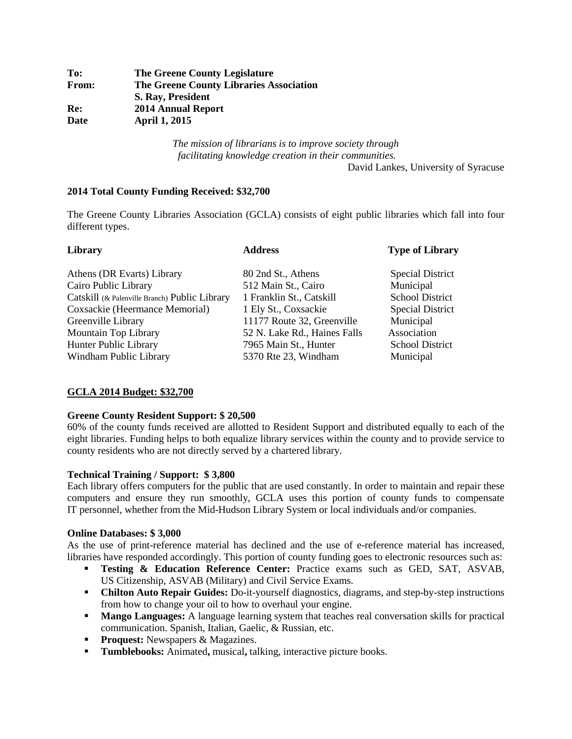| To:          | <b>The Greene County Legislature</b>           |
|--------------|------------------------------------------------|
| <b>From:</b> | <b>The Greene County Libraries Association</b> |
|              | S. Ray, President                              |
| Re:          | <b>2014 Annual Report</b>                      |
| Date         | <b>April 1, 2015</b>                           |

*The mission of librarians is to improve society through facilitating knowledge creation in their communities.* 

David Lankes, University of Syracuse

### **2014 Total County Funding Received: \$32,700**

The Greene County Libraries Association (GCLA) consists of eight public libraries which fall into four different types.

| Library                                       | <b>Address</b>               | <b>Type of Library</b>  |  |
|-----------------------------------------------|------------------------------|-------------------------|--|
| Athens (DR Evarts) Library                    | 80 2nd St., Athens           | <b>Special District</b> |  |
| Cairo Public Library                          | 512 Main St., Cairo          | Municipal               |  |
| Catskill (& Palenville Branch) Public Library | 1 Franklin St., Catskill     | <b>School District</b>  |  |
| Coxsackie (Heermance Memorial)                | 1 Ely St., Coxsackie         | <b>Special District</b> |  |
| Greenville Library                            | 11177 Route 32, Greenville   | Municipal               |  |
| Mountain Top Library                          | 52 N. Lake Rd., Haines Falls | Association             |  |
| Hunter Public Library                         | 7965 Main St., Hunter        | <b>School District</b>  |  |
| Windham Public Library                        | 5370 Rte 23, Windham         | Municipal               |  |

## **GCLA 2014 Budget: \$32,700**

## **Greene County Resident Support: \$ 20,500**

60% of the county funds received are allotted to Resident Support and distributed equally to each of the eight libraries. Funding helps to both equalize library services within the county and to provide service to county residents who are not directly served by a chartered library.

## **Technical Training / Support: \$ 3,800**

Each library offers computers for the public that are used constantly. In order to maintain and repair these computers and ensure they run smoothly, GCLA uses this portion of county funds to compensate IT personnel, whether from the Mid-Hudson Library System or local individuals and/or companies.

### **Online Databases: \$ 3,000**

As the use of print-reference material has declined and the use of e-reference material has increased, libraries have responded accordingly. This portion of county funding goes to electronic resources such as:

- **Testing & Education Reference Center:** Practice exams such as GED, SAT, ASVAB, US Citizenship, ASVAB (Military) and Civil Service Exams.
- **Chilton Auto Repair Guides:** Do-it-yourself diagnostics, diagrams, and step-by-step instructions from how to change your oil to how to overhaul your engine.
- **Mango Languages:** A language learning system that teaches real conversation skills for practical communication. Spanish, Italian, Gaelic, & Russian, etc.
- **Proquest:** Newspapers & Magazines.
- **Tumblebooks:** Animated**,** musical**,** talking, interactive picture books.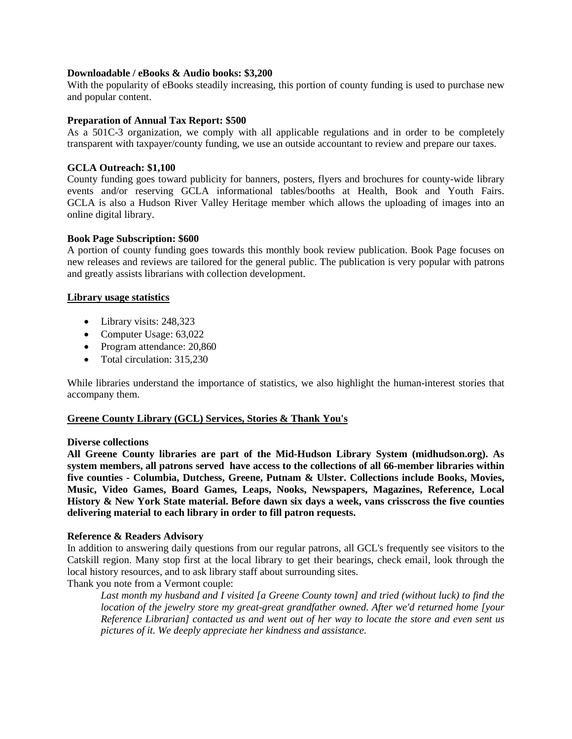### **Downloadable / eBooks & Audio books: \$3,200**

With the popularity of eBooks steadily increasing, this portion of county funding is used to purchase new and popular content.

### **Preparation of Annual Tax Report: \$500**

As a 501C-3 organization, we comply with all applicable regulations and in order to be completely transparent with taxpayer/county funding, we use an outside accountant to review and prepare our taxes.

### **GCLA Outreach: \$1,100**

County funding goes toward publicity for banners, posters, flyers and brochures for county-wide library events and/or reserving GCLA informational tables/booths at Health, Book and Youth Fairs. GCLA is also a Hudson River Valley Heritage member which allows the uploading of images into an online digital library.

### **Book Page Subscription: \$600**

A portion of county funding goes towards this monthly book review publication. Book Page focuses on new releases and reviews are tailored for the general public. The publication is very popular with patrons and greatly assists librarians with collection development.

### **Library usage statistics**

- Library visits: 248,323
- Computer Usage: 63,022
- Program attendance: 20,860
- Total circulation: 315,230

While libraries understand the importance of statistics, we also highlight the human-interest stories that accompany them.

## **Greene County Library (GCL) Services, Stories & Thank You's**

### **Diverse collections**

**All Greene County libraries are part of the Mid-Hudson Library System (midhudson.org). As system members, all patrons served have access to the collections of all 66-member libraries within five counties - Columbia, Dutchess, Greene, Putnam & Ulster. Collections include Books, Movies, Music, Video Games, Board Games, Leaps, Nooks, Newspapers, Magazines, Reference, Local History & New York State material. Before dawn six days a week, vans crisscross the five counties delivering material to each library in order to fill patron requests.**

#### **Reference & Readers Advisory**

In addition to answering daily questions from our regular patrons, all GCL's frequently see visitors to the Catskill region. Many stop first at the local library to get their bearings, check email, look through the local history resources, and to ask library staff about surrounding sites.

Thank you note from a Vermont couple:

*Last month my husband and I visited [a Greene County town] and tried (without luck) to find the location of the jewelry store my great-great grandfather owned. After we'd returned home [your Reference Librarian] contacted us and went out of her way to locate the store and even sent us pictures of it. We deeply appreciate her kindness and assistance.*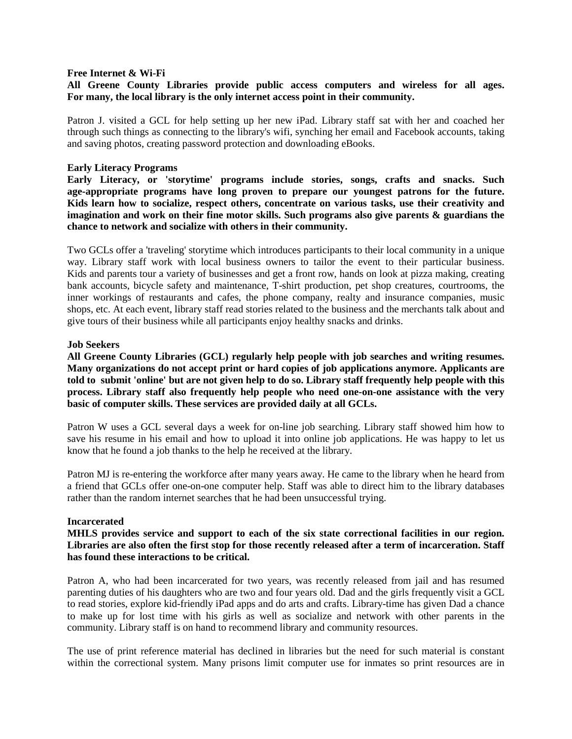#### **Free Internet & Wi-Fi**

# **All Greene County Libraries provide public access computers and wireless for all ages. For many, the local library is the only internet access point in their community.**

Patron J. visited a GCL for help setting up her new iPad. Library staff sat with her and coached her through such things as connecting to the library's wifi, synching her email and Facebook accounts, taking and saving photos, creating password protection and downloading eBooks.

#### **Early Literacy Programs**

**Early Literacy, or 'storytime' programs include stories, songs, crafts and snacks. Such age-appropriate programs have long proven to prepare our youngest patrons for the future. Kids learn how to socialize, respect others, concentrate on various tasks, use their creativity and imagination and work on their fine motor skills. Such programs also give parents & guardians the chance to network and socialize with others in their community.**

Two GCLs offer a 'traveling' storytime which introduces participants to their local community in a unique way. Library staff work with local business owners to tailor the event to their particular business. Kids and parents tour a variety of businesses and get a front row, hands on look at pizza making, creating bank accounts, bicycle safety and maintenance, T-shirt production, pet shop creatures, courtrooms, the inner workings of restaurants and cafes, the phone company, realty and insurance companies, music shops, etc. At each event, library staff read stories related to the business and the merchants talk about and give tours of their business while all participants enjoy healthy snacks and drinks.

#### **Job Seekers**

**All Greene County Libraries (GCL) regularly help people with job searches and writing resumes. Many organizations do not accept print or hard copies of job applications anymore. Applicants are told to submit 'online' but are not given help to do so. Library staff frequently help people with this process. Library staff also frequently help people who need one-on-one assistance with the very basic of computer skills. These services are provided daily at all GCLs.** 

Patron W uses a GCL several days a week for on-line job searching. Library staff showed him how to save his resume in his email and how to upload it into online job applications. He was happy to let us know that he found a job thanks to the help he received at the library.

Patron MJ is re-entering the workforce after many years away. He came to the library when he heard from a friend that GCLs offer one-on-one computer help. Staff was able to direct him to the library databases rather than the random internet searches that he had been unsuccessful trying.

#### **Incarcerated**

**MHLS provides service and support to each of the six state correctional facilities in our region. Libraries are also often the first stop for those recently released after a term of incarceration. Staff has found these interactions to be critical.**

Patron A, who had been incarcerated for two years, was recently released from jail and has resumed parenting duties of his daughters who are two and four years old. Dad and the girls frequently visit a GCL to read stories, explore kid-friendly iPad apps and do arts and crafts. Library-time has given Dad a chance to make up for lost time with his girls as well as socialize and network with other parents in the community. Library staff is on hand to recommend library and community resources.

The use of print reference material has declined in libraries but the need for such material is constant within the correctional system. Many prisons limit computer use for inmates so print resources are in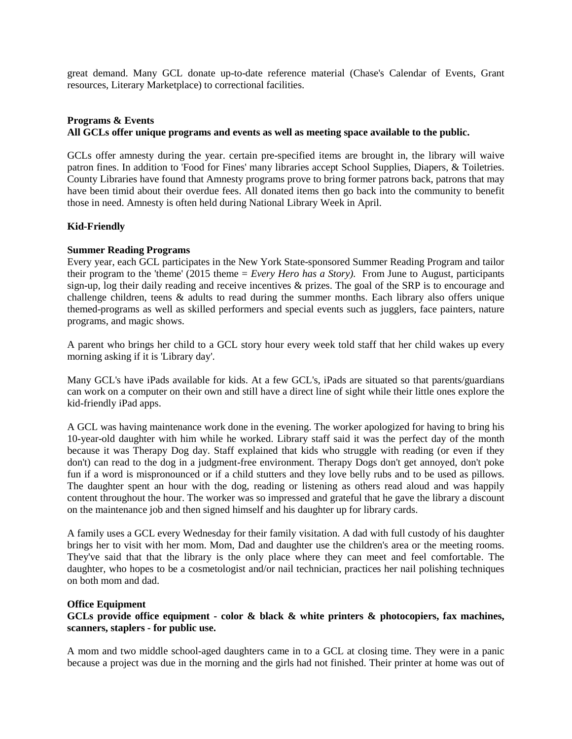great demand. Many GCL donate up-to-date reference material (Chase's Calendar of Events, Grant resources, Literary Marketplace) to correctional facilities.

# **Programs & Events All GCLs offer unique programs and events as well as meeting space available to the public.**

GCLs offer amnesty during the year. certain pre-specified items are brought in, the library will waive patron fines. In addition to 'Food for Fines' many libraries accept School Supplies, Diapers, & Toiletries. County Libraries have found that Amnesty programs prove to bring former patrons back, patrons that may have been timid about their overdue fees. All donated items then go back into the community to benefit those in need. Amnesty is often held during National Library Week in April.

## **Kid-Friendly**

## **Summer Reading Programs**

Every year, each GCL participates in the New York State-sponsored Summer Reading Program and tailor their program to the 'theme' (2015 theme = *Every Hero has a Story).* From June to August, participants sign-up, log their daily reading and receive incentives & prizes. The goal of the SRP is to encourage and challenge children, teens & adults to read during the summer months. Each library also offers unique themed-programs as well as skilled performers and special events such as jugglers, face painters, nature programs, and magic shows.

A parent who brings her child to a GCL story hour every week told staff that her child wakes up every morning asking if it is 'Library day'.

Many GCL's have iPads available for kids. At a few GCL's, iPads are situated so that parents/guardians can work on a computer on their own and still have a direct line of sight while their little ones explore the kid-friendly iPad apps.

A GCL was having maintenance work done in the evening. The worker apologized for having to bring his 10-year-old daughter with him while he worked. Library staff said it was the perfect day of the month because it was Therapy Dog day. Staff explained that kids who struggle with reading (or even if they don't) can read to the dog in a judgment-free environment. Therapy Dogs don't get annoyed, don't poke fun if a word is mispronounced or if a child stutters and they love belly rubs and to be used as pillows. The daughter spent an hour with the dog, reading or listening as others read aloud and was happily content throughout the hour. The worker was so impressed and grateful that he gave the library a discount on the maintenance job and then signed himself and his daughter up for library cards.

A family uses a GCL every Wednesday for their family visitation. A dad with full custody of his daughter brings her to visit with her mom. Mom, Dad and daughter use the children's area or the meeting rooms. They've said that that the library is the only place where they can meet and feel comfortable. The daughter, who hopes to be a cosmetologist and/or nail technician, practices her nail polishing techniques on both mom and dad.

## **Office Equipment**

# **GCLs provide office equipment - color & black & white printers & photocopiers, fax machines, scanners, staplers - for public use.**

A mom and two middle school-aged daughters came in to a GCL at closing time. They were in a panic because a project was due in the morning and the girls had not finished. Their printer at home was out of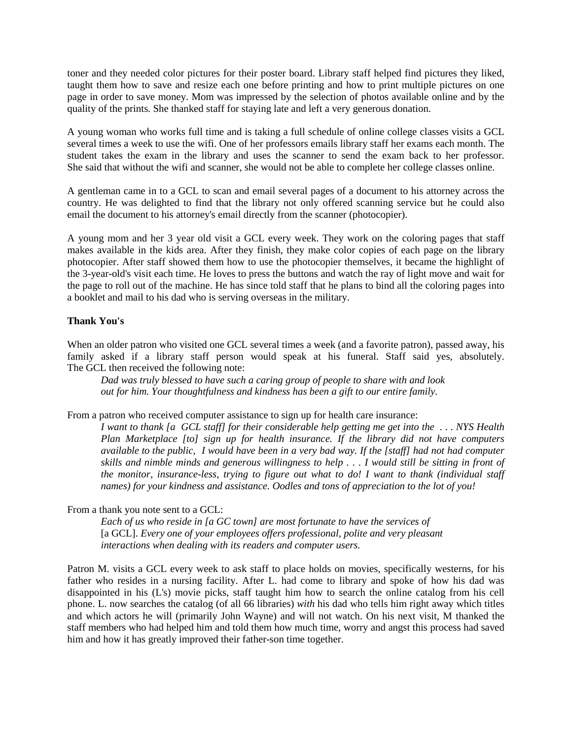toner and they needed color pictures for their poster board. Library staff helped find pictures they liked, taught them how to save and resize each one before printing and how to print multiple pictures on one page in order to save money. Mom was impressed by the selection of photos available online and by the quality of the prints. She thanked staff for staying late and left a very generous donation.

A young woman who works full time and is taking a full schedule of online college classes visits a GCL several times a week to use the wifi. One of her professors emails library staff her exams each month. The student takes the exam in the library and uses the scanner to send the exam back to her professor. She said that without the wifi and scanner, she would not be able to complete her college classes online.

A gentleman came in to a GCL to scan and email several pages of a document to his attorney across the country. He was delighted to find that the library not only offered scanning service but he could also email the document to his attorney's email directly from the scanner (photocopier).

A young mom and her 3 year old visit a GCL every week. They work on the coloring pages that staff makes available in the kids area. After they finish, they make color copies of each page on the library photocopier. After staff showed them how to use the photocopier themselves, it became the highlight of the 3-year-old's visit each time. He loves to press the buttons and watch the ray of light move and wait for the page to roll out of the machine. He has since told staff that he plans to bind all the coloring pages into a booklet and mail to his dad who is serving overseas in the military.

## **Thank You's**

When an older patron who visited one GCL several times a week (and a favorite patron), passed away, his family asked if a library staff person would speak at his funeral. Staff said yes, absolutely. The GCL then received the following note:

*Dad was truly blessed to have such a caring group of people to share with and look out for him. Your thoughtfulness and kindness has been a gift to our entire family.*

From a patron who received computer assistance to sign up for health care insurance:

*I want to thank [a GCL staff] for their considerable help getting me get into the . . . NYS Health Plan Marketplace [to] sign up for health insurance. If the library did not have computers available to the public, I would have been in a very bad way. If the [staff] had not had computer skills and nimble minds and generous willingness to help . . . I would still be sitting in front of the monitor, insurance-less, trying to figure out what to do! I want to thank (individual staff names) for your kindness and assistance. Oodles and tons of appreciation to the lot of you!* 

From a thank you note sent to a GCL:

*Each of us who reside in [a GC town] are most fortunate to have the services of*  [a GCL]. *Every one of your employees offers professional, polite and very pleasant interactions when dealing with its readers and computer users.* 

Patron M. visits a GCL every week to ask staff to place holds on movies, specifically westerns, for his father who resides in a nursing facility. After L. had come to library and spoke of how his dad was disappointed in his (L's) movie picks, staff taught him how to search the online catalog from his cell phone. L. now searches the catalog (of all 66 libraries) *with* his dad who tells him right away which titles and which actors he will (primarily John Wayne) and will not watch. On his next visit, M thanked the staff members who had helped him and told them how much time, worry and angst this process had saved him and how it has greatly improved their father-son time together.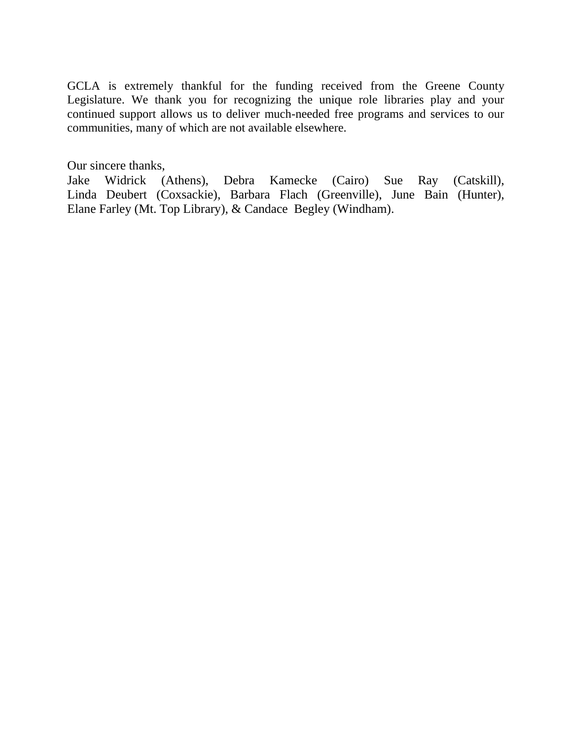GCLA is extremely thankful for the funding received from the Greene County Legislature. We thank you for recognizing the unique role libraries play and your continued support allows us to deliver much-needed free programs and services to our communities, many of which are not available elsewhere.

Our sincere thanks,

Jake Widrick (Athens), Debra Kamecke (Cairo) Sue Ray (Catskill), Linda Deubert (Coxsackie), Barbara Flach (Greenville), June Bain (Hunter), Elane Farley (Mt. Top Library), & Candace Begley (Windham).